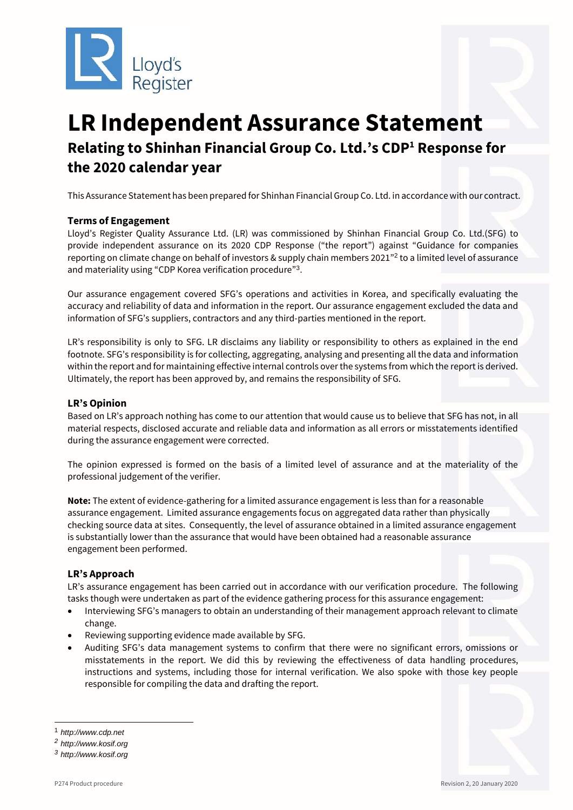

# **LR Independent Assurance Statement Relating to Shinhan Financial Group Co. Ltd.'s CDP<sup>1</sup> Response for the 2020 calendar year**

This Assurance Statement has been prepared for Shinhan Financial Group Co. Ltd. in accordance with our contract.

# **Terms of Engagement**

Lloyd's Register Quality Assurance Ltd. (LR) was commissioned by Shinhan Financial Group Co. Ltd.(SFG) to provide independent assurance on its 2020 CDP Response ("the report") against "Guidance for companies reporting on climate change on behalf of investors & supply chain members 2021" 2 to a limited level of assurance and materiality using "CDP Korea verification procedure"<sup>3</sup>.

Our assurance engagement covered SFG's operations and activities in Korea, and specifically evaluating the accuracy and reliability of data and information in the report. Our assurance engagement excluded the data and information of SFG's suppliers, contractors and any third-parties mentioned in the report.

LR's responsibility is only to SFG. LR disclaims any liability or responsibility to others as explained in the end footnote. SFG's responsibility is for collecting, aggregating, analysing and presenting all the data and information within the report and for maintaining effective internal controls over the systems from which the report is derived. Ultimately, the report has been approved by, and remains the responsibility of SFG.

# **LR's Opinion**

Based on LR's approach nothing has come to our attention that would cause us to believe that SFG has not, in all material respects, disclosed accurate and reliable data and information as all errors or misstatements identified during the assurance engagement were corrected.

The opinion expressed is formed on the basis of a limited level of assurance and at the materiality of the professional judgement of the verifier.

**Note:** The extent of evidence-gathering for a limited assurance engagement is less than for a reasonable assurance engagement. Limited assurance engagements focus on aggregated data rather than physically checking source data at sites. Consequently, the level of assurance obtained in a limited assurance engagement is substantially lower than the assurance that would have been obtained had a reasonable assurance engagement been performed.

# **LR's Approach**

LR's assurance engagement has been carried out in accordance with our verification procedure. The following tasks though were undertaken as part of the evidence gathering process for this assurance engagement:

- Interviewing SFG's managers to obtain an understanding of their management approach relevant to climate change.
- Reviewing supporting evidence made available by SFG.
- Auditing SFG's data management systems to confirm that there were no significant errors, omissions or misstatements in the report. We did this by reviewing the effectiveness of data handling procedures, instructions and systems, including those for internal verification. We also spoke with those key people responsible for compiling the data and drafting the report.

-

<sup>1</sup> *http://www.cdp.net*

*<sup>2</sup> http://www.kosif.org*

*<sup>3</sup> http://www.kosif.org*